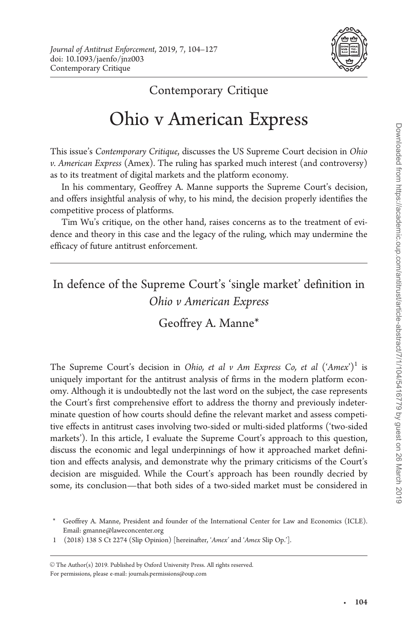

Contemporary Critique

# Ohio v American Express

This issue's Contemporary Critique, discusses the US Supreme Court decision in Ohio v. American Express (Amex). The ruling has sparked much interest (and controversy) as to its treatment of digital markets and the platform economy.

In his commentary, Geoffrey A. Manne supports the Supreme Court's decision, and offers insightful analysis of why, to his mind, the decision properly identifies the competitive process of platforms.

Tim Wu's critique, on the other hand, raises concerns as to the treatment of evidence and theory in this case and the legacy of the ruling, which may undermine the efficacy of future antitrust enforcement.

# In defence of the Supreme Court's 'single market' definition in Ohio v American Express

Geoffrey A. Manne\*

The Supreme Court's decision in Ohio, et al v Am Express Co, et al  $( 'A m e x' )^1$  is uniquely important for the antitrust analysis of firms in the modern platform economy. Although it is undoubtedly not the last word on the subject, the case represents the Court's first comprehensive effort to address the thorny and previously indeterminate question of how courts should define the relevant market and assess competitive effects in antitrust cases involving two-sided or multi-sided platforms ('two-sided markets'). In this article, I evaluate the Supreme Court's approach to this question, discuss the economic and legal underpinnings of how it approached market definition and effects analysis, and demonstrate why the primary criticisms of the Court's decision are misguided. While the Court's approach has been roundly decried by some, its conclusion—that both sides of a two-sided market must be considered in

 $\odot$  The Author(s) 2019. Published by Oxford University Press. All rights reserved.

For permissions, please e-mail: journals.permissions@oup.com

-

Geoffrey A. Manne, President and founder of the International Center for Law and Economics (ICLE). Email: gmanne@laweconcenter.org

<sup>1 (2018) 138</sup> S Ct 2274 (Slip Opinion) [hereinafter, 'Amex' and 'Amex Slip Op.'].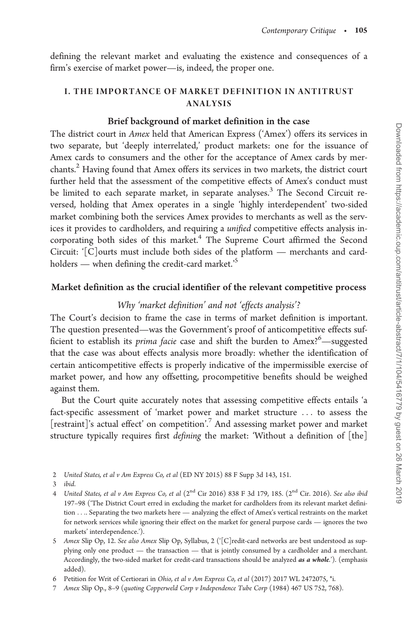defining the relevant market and evaluating the existence and consequences of a firm's exercise of market power—is, indeed, the proper one.

#### I. THE IMPORTANCE OF MARKET DEFINITION IN ANTITRUST ANALYSIS

#### Brief background of market definition in the case

The district court in Amex held that American Express ('Amex') offers its services in two separate, but 'deeply interrelated,' product markets: one for the issuance of Amex cards to consumers and the other for the acceptance of Amex cards by merchants.<sup>2</sup> Having found that Amex offers its services in two markets, the district court further held that the assessment of the competitive effects of Amex's conduct must be limited to each separate market, in separate analyses.<sup>3</sup> The Second Circuit reversed, holding that Amex operates in a single 'highly interdependent' two-sided market combining both the services Amex provides to merchants as well as the services it provides to cardholders, and requiring a unified competitive effects analysis incorporating both sides of this market.<sup>4</sup> The Supreme Court affirmed the Second Circuit: '[C]ourts must include both sides of the platform — merchants and cardholders — when defining the credit-card market.<sup>5</sup>

#### Market definition as the crucial identifier of the relevant competitive process

#### Why 'market definition' and not 'effects analysis'?

The Court's decision to frame the case in terms of market definition is important. The question presented—was the Government's proof of anticompetitive effects sufficient to establish its *prima facie* case and shift the burden to Amex?<sup>6</sup>—suggested that the case was about effects analysis more broadly: whether the identification of certain anticompetitive effects is properly indicative of the impermissible exercise of market power, and how any offsetting, procompetitive benefits should be weighed against them.

But the Court quite accurately notes that assessing competitive effects entails 'a fact-specific assessment of 'market power and market structure ... to assess the [restraint]'s actual effect' on competition'.<sup>7</sup> And assessing market power and market structure typically requires first *defining* the market: 'Without a definition of [the]

7 Amex Slip Op., 8–9 (quoting Copperweld Corp v Independence Tube Corp (1984) 467 US 752, 768).

<sup>2</sup> United States, et al v Am Express Co, et al (ED NY 2015) 88 F Supp 3d 143, 151.

<sup>3</sup> ibid.

<sup>4</sup> United States, et al v Am Express Co, et al (2<sup>nd</sup> Cir 2016) 838 F 3d 179, 185. (2<sup>nd</sup> Cir. 2016). See also ibid 197–98 ('The District Court erred in excluding the market for cardholders from its relevant market definition .... Separating the two markets here — analyzing the effect of Amex's vertical restraints on the market for network services while ignoring their effect on the market for general purpose cards — ignores the two markets' interdependence.').

<sup>5</sup> Amex Slip Op, 12. See also Amex Slip Op, Syllabus, 2 ('[C]redit-card networks are best understood as supplying only one product — the transaction — that is jointly consumed by a cardholder and a merchant. Accordingly, the two-sided market for credit-card transactions should be analyzed *as a whole*.'). (emphasis added).

<sup>6</sup> Petition for Writ of Certiorari in Ohio, et al v Am Express Co, et al (2017) 2017 WL 2472075, \*i.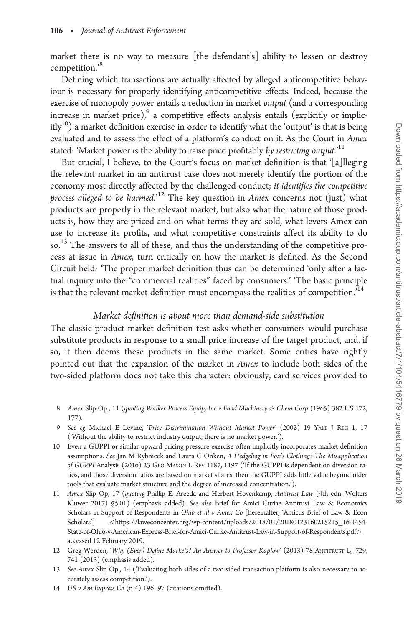market there is no way to measure [the defendant's] ability to lessen or destroy competition.'<sup>8</sup>

Defining which transactions are actually affected by alleged anticompetitive behaviour is necessary for properly identifying anticompetitive effects. Indeed, because the exercise of monopoly power entails a reduction in market *output* (and a corresponding increase in market price), $9$  a competitive effects analysis entails (explicitly or implicitly<sup>10</sup>) a market definition exercise in order to identify what the 'output' is that is being evaluated and to assess the effect of a platform's conduct on it. As the Court in Amex stated: 'Market power is the ability to raise price profitably by restricting output.'<sup>11</sup>

But crucial, I believe, to the Court's focus on market definition is that '[a]lleging the relevant market in an antitrust case does not merely identify the portion of the economy most directly affected by the challenged conduct; it identifies the competitive process alleged to be harmed.'<sup>12</sup> The key question in Amex concerns not (just) what products are properly in the relevant market, but also what the nature of those products is, how they are priced and on what terms they are sold, what levers Amex can use to increase its profits, and what competitive constraints affect its ability to do so.<sup>13</sup> The answers to all of these, and thus the understanding of the competitive process at issue in Amex, turn critically on how the market is defined. As the Second Circuit held: 'The proper market definition thus can be determined 'only after a factual inquiry into the "commercial realities" faced by consumers.' 'The basic principle is that the relevant market definition must encompass the realities of competition.<sup>'14</sup>

#### Market definition is about more than demand-side substitution

The classic product market definition test asks whether consumers would purchase substitute products in response to a small price increase of the target product, and, if so, it then deems these products in the same market. Some critics have rightly pointed out that the expansion of the market in Amex to include both sides of the two-sided platform does not take this character: obviously, card services provided to

- 8 Amex Slip Op., 11 (quoting Walker Process Equip, Inc v Food Machinery & Chem Corp (1965) 382 US 172, 177).
- 9 See eg Michael E Levine, 'Price Discrimination Without Market Power' (2002) 19 YALE J REG 1, 17 ('Without the ability to restrict industry output, there is no market power.').
- 10 Even a GUPPI or similar upward pricing pressure exercise often implicitly incorporates market definition assumptions. See Jan M Rybnicek and Laura C Onken, A Hedgehog in Fox's Clothing? The Misapplication of GUPPI Analysis (2016) 23 GEO MASON L REV 1187, 1197 ('If the GUPPI is dependent on diversion ratios, and those diversion ratios are based on market shares, then the GUPPI adds little value beyond older tools that evaluate market structure and the degree of increased concentration.').
- 11 Amex Slip Op, 17 (quoting Phillip E. Areeda and Herbert Hovenkamp, Antitrust Law (4th edn, Wolters Kluwer 2017) §5.01) (emphasis added). See also Brief for Amici Curiae Antitrust Law & Economics Scholars in Support of Respondents in Ohio et al v Amex Co [hereinafter, 'Amicus Brief of Law & Econ Scholars' <https://laweconcenter.org/wp-content/uploads/2018/01/20180123160215215 16-1454-[State-of-Ohio-v-American-Express-Brief-for-Amici-Curiae-Antitrust-Law-in-Support-of-Respondents.pdf](https://laweconcenter.org/wp-content/uploads/2018/01/20180123160215215_16-1454-State-of-Ohio-v-American-Express-Brief-for-Amici-Curiae-Antitrust-Law-in-Support-of-Respondents.pdf)> accessed 12 February 2019.
- 12 Greg Werden, 'Why (Ever) Define Markets? An Answer to Professor Kaplow' (2013) 78 ANTITRUST LJ 729, 741 (2013) (emphasis added).
- 13 See Amex Slip Op., 14 ('Evaluating both sides of a two-sided transaction platform is also necessary to accurately assess competition.').
- 14 US v Am Express Co (n 4) 196–97 (citations omitted).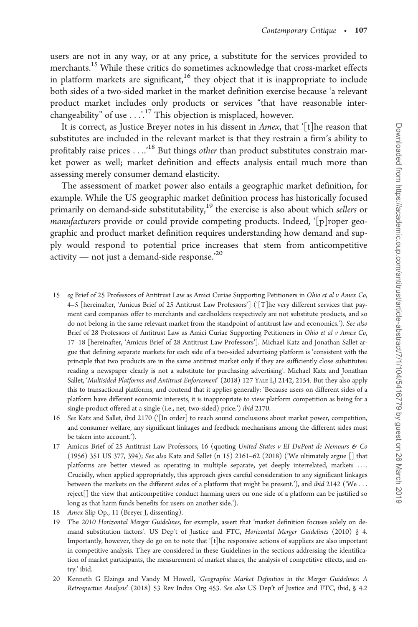users are not in any way, or at any price, a substitute for the services provided to merchants.<sup>15</sup> While these critics do sometimes acknowledge that cross-market effects in platform markets are significant,  $16$  they object that it is inappropriate to include both sides of a two-sided market in the market definition exercise because 'a relevant product market includes only products or services "that have reasonable interchangeability" of use  $\dots$ <sup>17</sup> This objection is misplaced, however.

It is correct, as Justice Breyer notes in his dissent in Amex, that '[t]he reason that substitutes are included in the relevant market is that they restrain a firm's ability to profitably raise prices . . ..<sup>18</sup> But things *other* than product substitutes constrain market power as well; market definition and effects analysis entail much more than assessing merely consumer demand elasticity.

The assessment of market power also entails a geographic market definition, for example. While the US geographic market definition process has historically focused primarily on demand-side substitutability, $19$  the exercise is also about which sellers or manufacturers provide or could provide competing products. Indeed, '[p]roper geographic and product market definition requires understanding how demand and supply would respond to potential price increases that stem from anticompetitive activity — not just a demand-side response.<sup>20</sup>

- 15 eg Brief of 25 Professors of Antitrust Law as Amici Curiae Supporting Petitioners in Ohio et al v Amex Co, 4–5 [hereinafter, 'Amicus Brief of 25 Antitrust Law Professors'] ('[T]he very different services that payment card companies offer to merchants and cardholders respectively are not substitute products, and so do not belong in the same relevant market from the standpoint of antitrust law and economics.'). See also Brief of 28 Professors of Antitrust Law as Amici Curiae Supporting Petitioners in Ohio et al v Amex Co, 17–18 [hereinafter, 'Amicus Brief of 28 Antitrust Law Professors']. Michael Katz and Jonathan Sallet argue that defining separate markets for each side of a two-sided advertising platform is 'consistent with the principle that two products are in the same antitrust market only if they are sufficiently close substitutes: reading a newspaper clearly is not a substitute for purchasing advertising'. Michael Katz and Jonathan Sallet, 'Multisided Platforms and Antitrust Enforcement' (2018) 127 YALE LJ 2142, 2154. But they also apply this to transactional platforms, and contend that it applies generally: 'Because users on different sides of a platform have different economic interests, it is inappropriate to view platform competition as being for a single-product offered at a single (i.e., net, two-sided) price.') ibid 2170.
- 16 See Katz and Sallet, ibid 2170 ('[In order] to reach sound conclusions about market power, competition, and consumer welfare, any significant linkages and feedback mechanisms among the different sides must be taken into account.').
- 17 Amicus Brief of 25 Antitrust Law Professors, 16 (quoting United States v EI DuPont de Nemours & Co (1956) 351 US 377, 394); See also Katz and Sallet (n 15) 2161–62 (2018) ('We ultimately argue [] that platforms are better viewed as operating in multiple separate, yet deeply interrelated, markets .... Crucially, when applied appropriately, this approach gives careful consideration to any significant linkages between the markets on the different sides of a platform that might be present.'), and ibid 2142 ('We ... reject[] the view that anticompetitive conduct harming users on one side of a platform can be justified so long as that harm funds benefits for users on another side.').
- 18 Amex Slip Op., 11 (Breyer J, dissenting).
- 19 The 2010 Horizontal Merger Guidelines, for example, assert that 'market definition focuses solely on demand substitution factors'. US Dep't of Justice and FTC, Horizontal Merger Guidelines (2010) § 4. Importantly, however, they do go on to note that '[t]he responsive actions of suppliers are also important in competitive analysis. They are considered in these Guidelines in the sections addressing the identification of market participants, the measurement of market shares, the analysis of competitive effects, and entry.' ibid.
- 20 Kenneth G Elzinga and Vandy M Howell, 'Geographic Market Definition in the Merger Guidelines: A Retrospective Analysis' (2018) 53 Rev Indus Org 453. See also US Dep't of Justice and FTC, ibid, § 4.2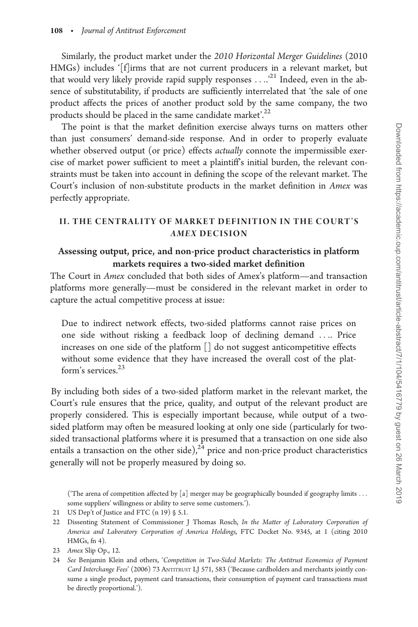Similarly, the product market under the 2010 Horizontal Merger Guidelines (2010 HMGs) includes '[f]irms that are not current producers in a relevant market, but that would very likely provide rapid supply responses  $\dots$ <sup>21</sup> Indeed, even in the absence of substitutability, if products are sufficiently interrelated that 'the sale of one product affects the prices of another product sold by the same company, the two products should be placed in the same candidate market'.<sup>22</sup>

The point is that the market definition exercise always turns on matters other than just consumers' demand-side response. And in order to properly evaluate whether observed output (or price) effects actually connote the impermissible exercise of market power sufficient to meet a plaintiff's initial burden, the relevant constraints must be taken into account in defining the scope of the relevant market. The Court's inclusion of non-substitute products in the market definition in Amex was perfectly appropriate.

#### II. THE CENTRALITY OF MARKET DEFINITION IN THE COURT'S AMEX DECISION

#### Assessing output, price, and non-price product characteristics in platform markets requires a two-sided market definition

The Court in Amex concluded that both sides of Amex's platform—and transaction platforms more generally—must be considered in the relevant market in order to capture the actual competitive process at issue:

Due to indirect network effects, two-sided platforms cannot raise prices on one side without risking a feedback loop of declining demand .... Price increases on one side of the platform [] do not suggest anticompetitive effects without some evidence that they have increased the overall cost of the platform's services<sup>23</sup>

By including both sides of a two-sided platform market in the relevant market, the Court's rule ensures that the price, quality, and output of the relevant product are properly considered. This is especially important because, while output of a twosided platform may often be measured looking at only one side (particularly for twosided transactional platforms where it is presumed that a transaction on one side also entails a transaction on the other side), $^{24}$  price and non-price product characteristics generally will not be properly measured by doing so.

('The arena of competition affected by [a] merger may be geographically bounded if geography limits ... some suppliers' willingness or ability to serve some customers.').

<sup>21</sup> US Dep't of Justice and FTC (n 19) § 5.1.

<sup>22</sup> Dissenting Statement of Commissioner J Thomas Rosch, In the Matter of Laboratory Corporation of America and Laboratory Corporation of America Holdings, FTC Docket No. 9345, at 1 (citing 2010 HMGs, fn 4).

<sup>23</sup> Amex Slip Op., 12.

<sup>24</sup> See Benjamin Klein and others, 'Competition in Two-Sided Markets: The Antitrust Economics of Payment Card Interchange Fees' (2006) 73 ANTITRUST LJ 571, 583 ('Because cardholders and merchants jointly consume a single product, payment card transactions, their consumption of payment card transactions must be directly proportional.').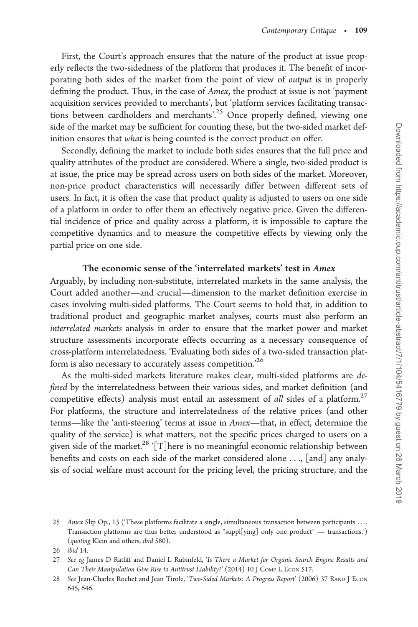First, the Court's approach ensures that the nature of the product at issue properly reflects the two-sidedness of the platform that produces it. The benefit of incorporating both sides of the market from the point of view of output is in properly defining the product. Thus, in the case of  $A$ *mex*, the product at issue is not 'payment acquisition services provided to merchants', but 'platform services facilitating transactions between cardholders and merchants'.<sup>25</sup> Once properly defined, viewing one side of the market may be sufficient for counting these, but the two-sided market definition ensures that what is being counted is the correct product on offer.

Secondly, defining the market to include both sides ensures that the full price and quality attributes of the product are considered. Where a single, two-sided product is at issue, the price may be spread across users on both sides of the market. Moreover, non-price product characteristics will necessarily differ between different sets of users. In fact, it is often the case that product quality is adjusted to users on one side of a platform in order to offer them an effectively negative price. Given the differential incidence of price and quality across a platform, it is impossible to capture the competitive dynamics and to measure the competitive effects by viewing only the partial price on one side.

#### The economic sense of the 'interrelated markets' test in Amex

Arguably, by including non-substitute, interrelated markets in the same analysis, the Court added another—and crucial—dimension to the market definition exercise in cases involving multi-sided platforms. The Court seems to hold that, in addition to traditional product and geographic market analyses, courts must also perform an interrelated markets analysis in order to ensure that the market power and market structure assessments incorporate effects occurring as a necessary consequence of cross-platform interrelatedness. 'Evaluating both sides of a two-sided transaction platform is also necessary to accurately assess competition.'26

As the multi-sided markets literature makes clear, multi-sided platforms are defined by the interrelatedness between their various sides, and market definition (and competitive effects) analysis must entail an assessment of all sides of a platform.<sup>27</sup> For platforms, the structure and interrelatedness of the relative prices (and other terms—like the 'anti-steering' terms at issue in Amex—that, in effect, determine the quality of the service) is what matters, not the specific prices charged to users on a given side of the market.<sup>28</sup> '[T]here is no meaningful economic relationship between benefits and costs on each side of the market considered alone ..., [and] any analysis of social welfare must account for the pricing level, the pricing structure, and the

<sup>25</sup> Amex Slip Op., 13 ('These platforms facilitate a single, simultaneous transaction between participants .... Transaction platforms are thus better understood as "suppl[ying] only one product" — transactions.') (quoting Klein and others, ibid 580).

<sup>26</sup> ibid 14.

<sup>27</sup> See eg James D Ratliff and Daniel L Rubinfeld, 'Is There a Market for Organic Search Engine Results and Can Their Manipulation Give Rise to Antitrust Liability?' (2014) 10 J COMP L ECON 517.

<sup>28</sup> See Jean-Charles Rochet and Jean Tirole, 'Two-Sided Markets: A Progress Report' (2006) 37 RAND J ECON 645, 646.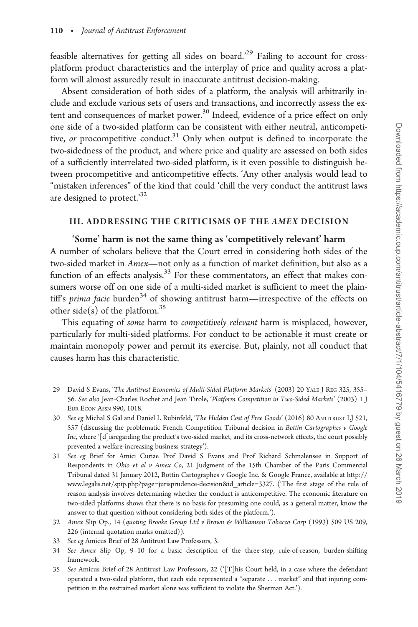feasible alternatives for getting all sides on board.'<sup>29</sup> Failing to account for crossplatform product characteristics and the interplay of price and quality across a platform will almost assuredly result in inaccurate antitrust decision-making.

Absent consideration of both sides of a platform, the analysis will arbitrarily include and exclude various sets of users and transactions, and incorrectly assess the extent and consequences of market power.<sup>30</sup> Indeed, evidence of a price effect on only one side of a two-sided platform can be consistent with either neutral, anticompetitive, or procompetitive conduct.<sup>31</sup> Only when output is defined to incorporate the two-sidedness of the product, and where price and quality are assessed on both sides of a sufficiently interrelated two-sided platform, is it even possible to distinguish between procompetitive and anticompetitive effects. 'Any other analysis would lead to "mistaken inferences" of the kind that could 'chill the very conduct the antitrust laws are designed to protect.'<sup>32</sup>

#### III. ADDRESSING THE CRITICISMS OF THE AMEX DECISION

#### 'Some' harm is not the same thing as 'competitively relevant' harm

A number of scholars believe that the Court erred in considering both sides of the two-sided market in Amex—not only as a function of market definition, but also as a function of an effects analysis. $33$  For these commentators, an effect that makes consumers worse off on one side of a multi-sided market is sufficient to meet the plaintiff's prima facie burden<sup>34</sup> of showing antitrust harm—irrespective of the effects on other side(s) of the platform.<sup>35</sup>

This equating of some harm to competitively relevant harm is misplaced, however, particularly for multi-sided platforms. For conduct to be actionable it must create or maintain monopoly power and permit its exercise. But, plainly, not all conduct that causes harm has this characteristic.

- 29 David S Evans, 'The Antitrust Economics of Multi-Sided Platform Markets' (2003) 20 YALE J REG 325, 355– 56. See also Jean-Charles Rochet and Jean Tirole, 'Platform Competition in Two-Sided Markets' (2003) 1 J EUR ECON ASSN 990, 1018.
- 30 See eg Michal S Gal and Daniel L Rubinfeld, 'The Hidden Cost of Free Goods' (2016) 80 ANTITRUST LJ 521, 557 (discussing the problematic French Competition Tribunal decision in Bottin Cartographes v Google Inc, where '[d]isregarding the product's two-sided market, and its cross-network effects, the court possibly prevented a welfare-increasing business strategy').
- 31 See eg Brief for Amici Curiae Prof David S Evans and Prof Richard Schmalensee in Support of Respondents in Ohio et al v Amex Co, 21 Judgment of the 15th Chamber of the Paris Commercial Tribunal dated 31 January 2012, Bottin Cartographes v Google Inc. & Google France, available at [http://](http://www.legalis.net/spip.php?page=jurisprudence-decision&id_article=3327) [www.legalis.net/spip.php?page=jurisprudence-decision&id\\_article=3327.](http://www.legalis.net/spip.php?page=jurisprudence-decision&id_article=3327) ('The first stage of the rule of reason analysis involves determining whether the conduct is anticompetitive. The economic literature on two-sided platforms shows that there is no basis for presuming one could, as a general matter, know the answer to that question without considering both sides of the platform.').
- 32 Amex Slip Op., 14 (quoting Brooke Group Ltd v Brown & Williamson Tobacco Corp (1993) 509 US 209, 226 (internal quotation marks omitted)).
- 33 See eg Amicus Brief of 28 Antitrust Law Professors, 3.
- 34 See Amex Slip Op, 9–10 for a basic description of the three-step, rule-of-reason, burden-shifting framework.
- 35 See Amicus Brief of 28 Antitrust Law Professors, 22 ('[T]his Court held, in a case where the defendant operated a two-sided platform, that each side represented a "separate ... market" and that injuring competition in the restrained market alone was sufficient to violate the Sherman Act.').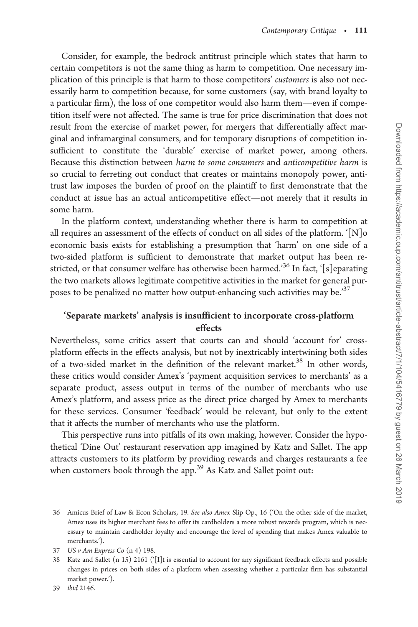Consider, for example, the bedrock antitrust principle which states that harm to certain competitors is not the same thing as harm to competition. One necessary implication of this principle is that harm to those competitors' customers is also not necessarily harm to competition because, for some customers (say, with brand loyalty to a particular firm), the loss of one competitor would also harm them—even if competition itself were not affected. The same is true for price discrimination that does not result from the exercise of market power, for mergers that differentially affect marginal and inframarginal consumers, and for temporary disruptions of competition insufficient to constitute the 'durable' exercise of market power, among others. Because this distinction between harm to some consumers and anticompetitive harm is so crucial to ferreting out conduct that creates or maintains monopoly power, antitrust law imposes the burden of proof on the plaintiff to first demonstrate that the conduct at issue has an actual anticompetitive effect—not merely that it results in some harm.

In the platform context, understanding whether there is harm to competition at all requires an assessment of the effects of conduct on all sides of the platform.  $[N]_0$ economic basis exists for establishing a presumption that 'harm' on one side of a two-sided platform is sufficient to demonstrate that market output has been restricted, or that consumer welfare has otherwise been harmed.<sup>36</sup> In fact, '[s]eparating the two markets allows legitimate competitive activities in the market for general purposes to be penalized no matter how output-enhancing such activities may be.<sup>37</sup>

#### 'Separate markets' analysis is insufficient to incorporate cross-platform effects

Nevertheless, some critics assert that courts can and should 'account for' crossplatform effects in the effects analysis, but not by inextricably intertwining both sides of a two-sided market in the definition of the relevant market.<sup>38</sup> In other words, these critics would consider Amex's 'payment acquisition services to merchants' as a separate product, assess output in terms of the number of merchants who use Amex's platform, and assess price as the direct price charged by Amex to merchants for these services. Consumer 'feedback' would be relevant, but only to the extent that it affects the number of merchants who use the platform.

This perspective runs into pitfalls of its own making, however. Consider the hypothetical 'Dine Out' restaurant reservation app imagined by Katz and Sallet. The app attracts customers to its platform by providing rewards and charges restaurants a fee when customers book through the app.<sup>39</sup> As Katz and Sallet point out:

<sup>36</sup> Amicus Brief of Law & Econ Scholars, 19. See also Amex Slip Op., 16 ('On the other side of the market, Amex uses its higher merchant fees to offer its cardholders a more robust rewards program, which is necessary to maintain cardholder loyalty and encourage the level of spending that makes Amex valuable to merchants.').

<sup>37</sup> US v Am Express Co (n 4) 198.

<sup>38</sup> Katz and Sallet (n 15) 2161 ('[I]t is essential to account for any significant feedback effects and possible changes in prices on both sides of a platform when assessing whether a particular firm has substantial market power.').

<sup>39</sup> ibid 2146.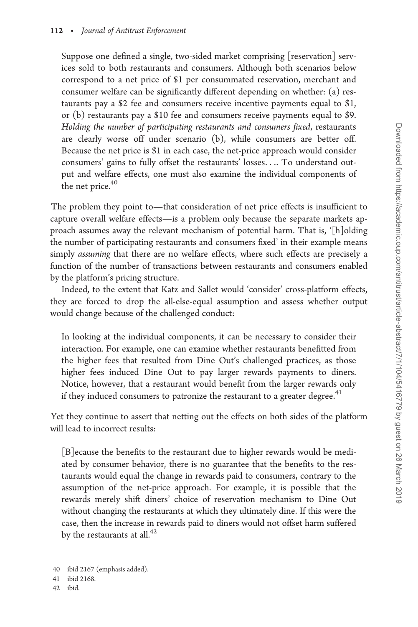Suppose one defined a single, two-sided market comprising [reservation] services sold to both restaurants and consumers. Although both scenarios below correspond to a net price of \$1 per consummated reservation, merchant and consumer welfare can be significantly different depending on whether: (a) restaurants pay a \$2 fee and consumers receive incentive payments equal to \$1, or (b) restaurants pay a \$10 fee and consumers receive payments equal to \$9. Holding the number of participating restaurants and consumers fixed, restaurants are clearly worse off under scenario (b), while consumers are better off. Because the net price is \$1 in each case, the net-price approach would consider consumers' gains to fully offset the restaurants' losses.... To understand output and welfare effects, one must also examine the individual components of the net price. $40$ 

The problem they point to—that consideration of net price effects is insufficient to capture overall welfare effects—is a problem only because the separate markets approach assumes away the relevant mechanism of potential harm. That is, '[h]olding the number of participating restaurants and consumers fixed' in their example means simply assuming that there are no welfare effects, where such effects are precisely a function of the number of transactions between restaurants and consumers enabled by the platform's pricing structure.

Indeed, to the extent that Katz and Sallet would 'consider' cross-platform effects, they are forced to drop the all-else-equal assumption and assess whether output would change because of the challenged conduct:

In looking at the individual components, it can be necessary to consider their interaction. For example, one can examine whether restaurants benefitted from the higher fees that resulted from Dine Out's challenged practices, as those higher fees induced Dine Out to pay larger rewards payments to diners. Notice, however, that a restaurant would benefit from the larger rewards only if they induced consumers to patronize the restaurant to a greater degree.<sup>41</sup>

Yet they continue to assert that netting out the effects on both sides of the platform will lead to incorrect results:

[B]ecause the benefits to the restaurant due to higher rewards would be mediated by consumer behavior, there is no guarantee that the benefits to the restaurants would equal the change in rewards paid to consumers, contrary to the assumption of the net-price approach. For example, it is possible that the rewards merely shift diners' choice of reservation mechanism to Dine Out without changing the restaurants at which they ultimately dine. If this were the case, then the increase in rewards paid to diners would not offset harm suffered by the restaurants at all. $42$ 

<sup>40</sup> ibid 2167 (emphasis added).

<sup>41</sup> ibid 2168.

<sup>42</sup> ibid.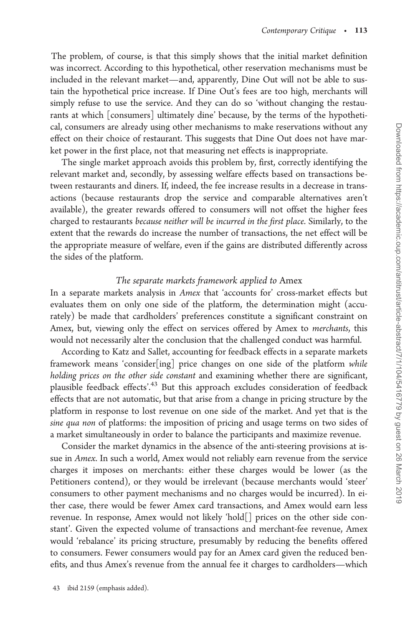The problem, of course, is that this simply shows that the initial market definition was incorrect. According to this hypothetical, other reservation mechanisms must be included in the relevant market—and, apparently, Dine Out will not be able to sustain the hypothetical price increase. If Dine Out's fees are too high, merchants will simply refuse to use the service. And they can do so 'without changing the restaurants at which [consumers] ultimately dine' because, by the terms of the hypothetical, consumers are already using other mechanisms to make reservations without any effect on their choice of restaurant. This suggests that Dine Out does not have market power in the first place, not that measuring net effects is inappropriate.

The single market approach avoids this problem by, first, correctly identifying the relevant market and, secondly, by assessing welfare effects based on transactions between restaurants and diners. If, indeed, the fee increase results in a decrease in transactions (because restaurants drop the service and comparable alternatives aren't available), the greater rewards offered to consumers will not offset the higher fees charged to restaurants because neither will be incurred in the first place. Similarly, to the extent that the rewards do increase the number of transactions, the net effect will be the appropriate measure of welfare, even if the gains are distributed differently across the sides of the platform.

#### The separate markets framework applied to Amex

In a separate markets analysis in Amex that 'accounts for' cross-market effects but evaluates them on only one side of the platform, the determination might (accurately) be made that cardholders' preferences constitute a significant constraint on Amex, but, viewing only the effect on services offered by Amex to merchants, this would not necessarily alter the conclusion that the challenged conduct was harmful.

According to Katz and Sallet, accounting for feedback effects in a separate markets framework means 'consider[ing] price changes on one side of the platform while holding prices on the other side constant and examining whether there are significant, plausible feedback effects'.43 But this approach excludes consideration of feedback effects that are not automatic, but that arise from a change in pricing structure by the platform in response to lost revenue on one side of the market. And yet that is the sine qua non of platforms: the imposition of pricing and usage terms on two sides of a market simultaneously in order to balance the participants and maximize revenue.

Consider the market dynamics in the absence of the anti-steering provisions at issue in Amex. In such a world, Amex would not reliably earn revenue from the service charges it imposes on merchants: either these charges would be lower (as the Petitioners contend), or they would be irrelevant (because merchants would 'steer' consumers to other payment mechanisms and no charges would be incurred). In either case, there would be fewer Amex card transactions, and Amex would earn less revenue. In response, Amex would not likely 'hold[] prices on the other side constant'. Given the expected volume of transactions and merchant-fee revenue, Amex would 'rebalance' its pricing structure, presumably by reducing the benefits offered to consumers. Fewer consumers would pay for an Amex card given the reduced benefits, and thus Amex's revenue from the annual fee it charges to cardholders—which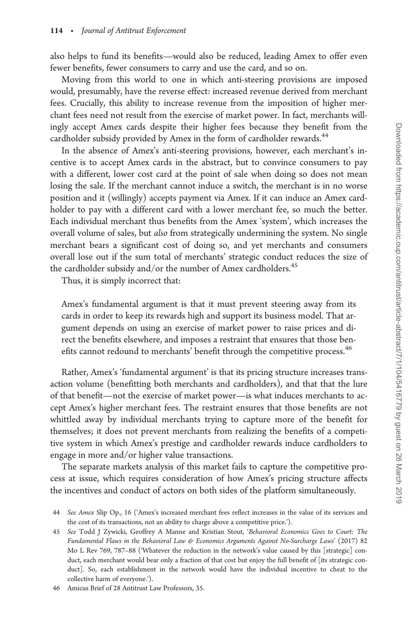also helps to fund its benefits—would also be reduced, leading Amex to offer even fewer benefits, fewer consumers to carry and use the card, and so on.

Moving from this world to one in which anti-steering provisions are imposed would, presumably, have the reverse effect: increased revenue derived from merchant fees. Crucially, this ability to increase revenue from the imposition of higher merchant fees need not result from the exercise of market power. In fact, merchants willingly accept Amex cards despite their higher fees because they benefit from the cardholder subsidy provided by Amex in the form of cardholder rewards.<sup>44</sup>

In the absence of Amex's anti-steering provisions, however, each merchant's incentive is to accept Amex cards in the abstract, but to convince consumers to pay with a different, lower cost card at the point of sale when doing so does not mean losing the sale. If the merchant cannot induce a switch, the merchant is in no worse position and it (willingly) accepts payment via Amex. If it can induce an Amex cardholder to pay with a different card with a lower merchant fee, so much the better. Each individual merchant thus benefits from the Amex 'system', which increases the overall volume of sales, but also from strategically undermining the system. No single merchant bears a significant cost of doing so, and yet merchants and consumers overall lose out if the sum total of merchants' strategic conduct reduces the size of the cardholder subsidy and/or the number of Amex cardholders.<sup>45</sup>

Thus, it is simply incorrect that:

Amex's fundamental argument is that it must prevent steering away from its cards in order to keep its rewards high and support its business model. That argument depends on using an exercise of market power to raise prices and direct the benefits elsewhere, and imposes a restraint that ensures that those benefits cannot redound to merchants' benefit through the competitive process.<sup>46</sup>

Rather, Amex's 'fundamental argument' is that its pricing structure increases transaction volume (benefitting both merchants and cardholders), and that that the lure of that benefit—not the exercise of market power—is what induces merchants to accept Amex's higher merchant fees. The restraint ensures that those benefits are not whittled away by individual merchants trying to capture more of the benefit for themselves; it does not prevent merchants from realizing the benefits of a competitive system in which Amex's prestige and cardholder rewards induce cardholders to engage in more and/or higher value transactions.

The separate markets analysis of this market fails to capture the competitive process at issue, which requires consideration of how Amex's pricing structure affects the incentives and conduct of actors on both sides of the platform simultaneously.

<sup>44</sup> See Amex Slip Op., 16 ('Amex's increased merchant fees reflect increases in the value of its services and the cost of its transactions, not an ability to charge above a competitive price.').

<sup>45</sup> See Todd J Zywicki, Geoffrey A Manne and Kristian Stout, 'Behavioral Economics Goes to Court: The Fundamental Flaws in the Behavioral Law & Economics Arguments Against No-Surcharge Laws' (2017) 82 Mo L Rev 769, 787–88 ('Whatever the reduction in the network's value caused by this [strategic] conduct, each merchant would bear only a fraction of that cost but enjoy the full benefit of [its strategic conduct]. So, each establishment in the network would have the individual incentive to cheat to the collective harm of everyone.').

<sup>46</sup> Amicus Brief of 28 Antitrust Law Professors, 35.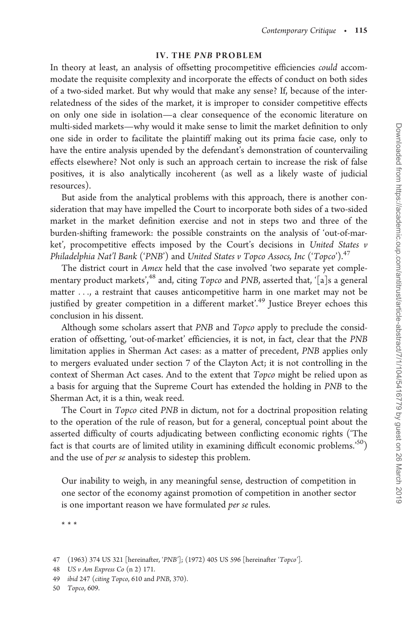#### IV. THE PNB PROBLEM

In theory at least, an analysis of offsetting procompetitive efficiencies could accommodate the requisite complexity and incorporate the effects of conduct on both sides of a two-sided market. But why would that make any sense? If, because of the interrelatedness of the sides of the market, it is improper to consider competitive effects on only one side in isolation—a clear consequence of the economic literature on multi-sided markets—why would it make sense to limit the market definition to only one side in order to facilitate the plaintiff making out its prima facie case, only to have the entire analysis upended by the defendant's demonstration of countervailing effects elsewhere? Not only is such an approach certain to increase the risk of false positives, it is also analytically incoherent (as well as a likely waste of judicial resources).

But aside from the analytical problems with this approach, there is another consideration that may have impelled the Court to incorporate both sides of a two-sided market in the market definition exercise and not in steps two and three of the burden-shifting framework: the possible constraints on the analysis of 'out-of-market', procompetitive effects imposed by the Court's decisions in United States  $\nu$ Philadelphia Nat'l Bank ('PNB') and United States v Topco Assocs, Inc ('Topco'). $47$ 

The district court in *Amex* held that the case involved 'two separate yet complementary product markets',<sup>48</sup> and, citing *Topco* and *PNB*, asserted that, '[a]s a general matter ..., a restraint that causes anticompetitive harm in one market may not be justified by greater competition in a different market'.<sup>49</sup> Justice Breyer echoes this conclusion in his dissent.

Although some scholars assert that PNB and Topco apply to preclude the consideration of offsetting, 'out-of-market' efficiencies, it is not, in fact, clear that the PNB limitation applies in Sherman Act cases: as a matter of precedent, PNB applies only to mergers evaluated under section 7 of the Clayton Act; it is not controlling in the context of Sherman Act cases. And to the extent that Topco might be relied upon as a basis for arguing that the Supreme Court has extended the holding in PNB to the Sherman Act, it is a thin, weak reed.

The Court in Topco cited PNB in dictum, not for a doctrinal proposition relating to the operation of the rule of reason, but for a general, conceptual point about the asserted difficulty of courts adjudicating between conflicting economic rights ('The fact is that courts are of limited utility in examining difficult economic problems.<sup>50</sup>) and the use of per se analysis to sidestep this problem.

Our inability to weigh, in any meaningful sense, destruction of competition in one sector of the economy against promotion of competition in another sector is one important reason we have formulated per se rules.

\*\*\*

- 48 US v Am Express Co (n 2) 171.
- 49 ibid 247 (citing Topco, 610 and PNB, 370).
- 50 Topco, 609.

<sup>47 (1963) 374</sup> US 321 [hereinafter, 'PNB']; (1972) 405 US 596 [hereinafter 'Topco'].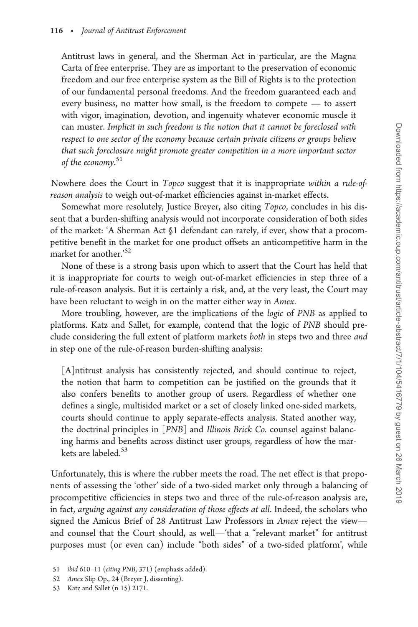Antitrust laws in general, and the Sherman Act in particular, are the Magna Carta of free enterprise. They are as important to the preservation of economic freedom and our free enterprise system as the Bill of Rights is to the protection of our fundamental personal freedoms. And the freedom guaranteed each and every business, no matter how small, is the freedom to compete — to assert with vigor, imagination, devotion, and ingenuity whatever economic muscle it can muster. Implicit in such freedom is the notion that it cannot be foreclosed with respect to one sector of the economy because certain private citizens or groups believe that such foreclosure might promote greater competition in a more important sector of the economy. 51

Nowhere does the Court in Topco suggest that it is inappropriate within a rule-ofreason analysis to weigh out-of-market efficiencies against in-market effects.

Somewhat more resolutely, Justice Breyer, also citing Topco, concludes in his dissent that a burden-shifting analysis would not incorporate consideration of both sides of the market: 'A Sherman Act §1 defendant can rarely, if ever, show that a procompetitive benefit in the market for one product offsets an anticompetitive harm in the market for another.'52

None of these is a strong basis upon which to assert that the Court has held that it is inappropriate for courts to weigh out-of-market efficiencies in step three of a rule-of-reason analysis. But it is certainly a risk, and, at the very least, the Court may have been reluctant to weigh in on the matter either way in Amex.

More troubling, however, are the implications of the logic of PNB as applied to platforms. Katz and Sallet, for example, contend that the logic of PNB should preclude considering the full extent of platform markets both in steps two and three and in step one of the rule-of-reason burden-shifting analysis:

[A]ntitrust analysis has consistently rejected, and should continue to reject, the notion that harm to competition can be justified on the grounds that it also confers benefits to another group of users. Regardless of whether one defines a single, multisided market or a set of closely linked one-sided markets, courts should continue to apply separate-effects analysis. Stated another way, the doctrinal principles in [PNB] and Illinois Brick Co. counsel against balancing harms and benefits across distinct user groups, regardless of how the markets are labeled.<sup>53</sup>

Unfortunately, this is where the rubber meets the road. The net effect is that proponents of assessing the 'other' side of a two-sided market only through a balancing of procompetitive efficiencies in steps two and three of the rule-of-reason analysis are, in fact, arguing against any consideration of those effects at all. Indeed, the scholars who signed the Amicus Brief of 28 Antitrust Law Professors in Amex reject the view and counsel that the Court should, as well—'that a "relevant market" for antitrust purposes must (or even can) include "both sides" of a two-sided platform', while

<sup>51</sup> ibid 610–11 (citing PNB, 371) (emphasis added).

<sup>52</sup> Amex Slip Op., 24 (Breyer J, dissenting).

<sup>53</sup> Katz and Sallet (n 15) 2171.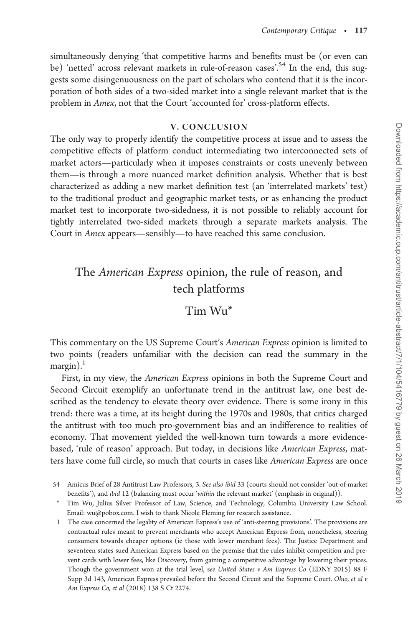simultaneously denying 'that competitive harms and benefits must be (or even can be) 'netted' across relevant markets in rule-of-reason cases'.<sup>54</sup> In the end, this suggests some disingenuousness on the part of scholars who contend that it is the incorporation of both sides of a two-sided market into a single relevant market that is the problem in Amex, not that the Court 'accounted for' cross-platform effects.

#### V. CONCLUSION

The only way to properly identify the competitive process at issue and to assess the competitive effects of platform conduct intermediating two interconnected sets of market actors—particularly when it imposes constraints or costs unevenly between them—is through a more nuanced market definition analysis. Whether that is best characterized as adding a new market definition test (an 'interrelated markets' test) to the traditional product and geographic market tests, or as enhancing the product market test to incorporate two-sidedness, it is not possible to reliably account for tightly interrelated two-sided markets through a separate markets analysis. The Court in Amex appears—sensibly—to have reached this same conclusion.

## The American Express opinion, the rule of reason, and tech platforms

### Tim Wu\*

This commentary on the US Supreme Court's American Express opinion is limited to two points (readers unfamiliar with the decision can read the summary in the  $margin$ ).<sup>1</sup>

First, in my view, the American Express opinions in both the Supreme Court and Second Circuit exemplify an unfortunate trend in the antitrust law, one best described as the tendency to elevate theory over evidence. There is some irony in this trend: there was a time, at its height during the 1970s and 1980s, that critics charged the antitrust with too much pro-government bias and an indifference to realities of economy. That movement yielded the well-known turn towards a more evidencebased, 'rule of reason' approach. But today, in decisions like American Express, matters have come full circle, so much that courts in cases like American Express are once

<sup>54</sup> Amicus Brief of 28 Antitrust Law Professors, 3. See also ibid 33 (courts should not consider 'out-of-market benefits'), and ibid 12 (balancing must occur 'within the relevant market' (emphasis in original)).

<sup>\*</sup> Tim Wu, Julius Silver Professor of Law, Science, and Technology, Columbia University Law School. Email: wu@pobox.com. I wish to thank Nicole Fleming for research assistance.

<sup>1</sup> The case concerned the legality of American Express's use of 'anti-steering provisions'. The provisions are contractual rules meant to prevent merchants who accept American Express from, nonetheless, steering consumers towards cheaper options (ie those with lower merchant fees). The Justice Department and seventeen states sued American Express based on the premise that the rules inhibit competition and prevent cards with lower fees, like Discovery, from gaining a competitive advantage by lowering their prices. Though the government won at the trial level, see United States v Am Express Co (EDNY 2015) 88 F Supp 3d 143, American Express prevailed before the Second Circuit and the Supreme Court. Ohio, et al v Am Express Co, et al (2018) 138 S Ct 2274.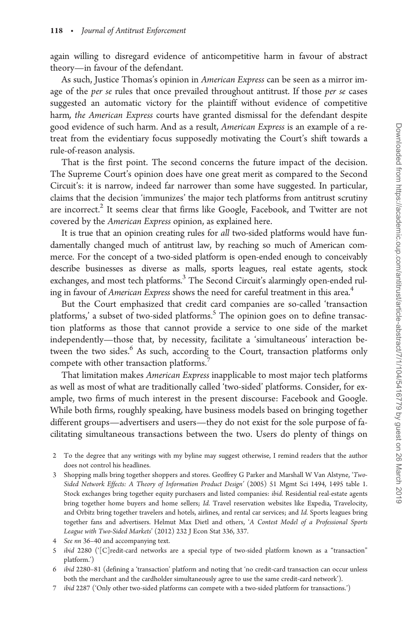again willing to disregard evidence of anticompetitive harm in favour of abstract theory—in favour of the defendant.

As such, Justice Thomas's opinion in American Express can be seen as a mirror image of the *per se* rules that once prevailed throughout antitrust. If those *per se* cases suggested an automatic victory for the plaintiff without evidence of competitive harm, the American Express courts have granted dismissal for the defendant despite good evidence of such harm. And as a result, American Express is an example of a retreat from the evidentiary focus supposedly motivating the Court's shift towards a rule-of-reason analysis.

That is the first point. The second concerns the future impact of the decision. The Supreme Court's opinion does have one great merit as compared to the Second Circuit's: it is narrow, indeed far narrower than some have suggested. In particular, claims that the decision 'immunizes' the major tech platforms from antitrust scrutiny are incorrect.<sup>2</sup> It seems clear that firms like Google, Facebook, and Twitter are not covered by the American Express opinion, as explained here.

It is true that an opinion creating rules for all two-sided platforms would have fundamentally changed much of antitrust law, by reaching so much of American commerce. For the concept of a two-sided platform is open-ended enough to conceivably describe businesses as diverse as malls, sports leagues, real estate agents, stock exchanges, and most tech platforms.<sup>3</sup> The Second Circuit's alarmingly open-ended ruling in favour of *American Express* shows the need for careful treatment in this area.<sup>4</sup>

But the Court emphasized that credit card companies are so-called 'transaction platforms,' a subset of two-sided platforms.<sup>5</sup> The opinion goes on to define transaction platforms as those that cannot provide a service to one side of the market independently—those that, by necessity, facilitate a 'simultaneous' interaction between the two sides. $6$  As such, according to the Court, transaction platforms only compete with other transaction platforms.<sup>7</sup>

That limitation makes American Express inapplicable to most major tech platforms as well as most of what are traditionally called 'two-sided' platforms. Consider, for example, two firms of much interest in the present discourse: Facebook and Google. While both firms, roughly speaking, have business models based on bringing together different groups—advertisers and users—they do not exist for the sole purpose of facilitating simultaneous transactions between the two. Users do plenty of things on

- 2 To the degree that any writings with my byline may suggest otherwise, I remind readers that the author does not control his headlines.
- 3 Shopping malls bring together shoppers and stores. Geoffrey G Parker and Marshall W Van Alstyne, 'Two-Sided Network Effects: A Theory of Information Product Design' (2005) 51 Mgmt Sci 1494, 1495 table 1. Stock exchanges bring together equity purchasers and listed companies: ibid. Residential real-estate agents bring together home buyers and home sellers; Id. Travel reservation websites like Expedia, Travelocity, and Orbitz bring together travelers and hotels, airlines, and rental car services; and Id. Sports leagues bring together fans and advertisers. Helmut Max Dietl and others, 'A Contest Model of a Professional Sports League with Two-Sided Markets' (2012) 232 J Econ Stat 336, 337.
- 4 See nn 36–40 and accompanying text.
- 5 *ibid* 2280 ('[C]redit-card networks are a special type of two-sided platform known as a "transaction" platform.')
- 6 ibid 2280–81 (defining a 'transaction' platform and noting that 'no credit-card transaction can occur unless both the merchant and the cardholder simultaneously agree to use the same credit-card network').
- 7 ibid 2287 ('Only other two-sided platforms can compete with a two-sided platform for transactions.')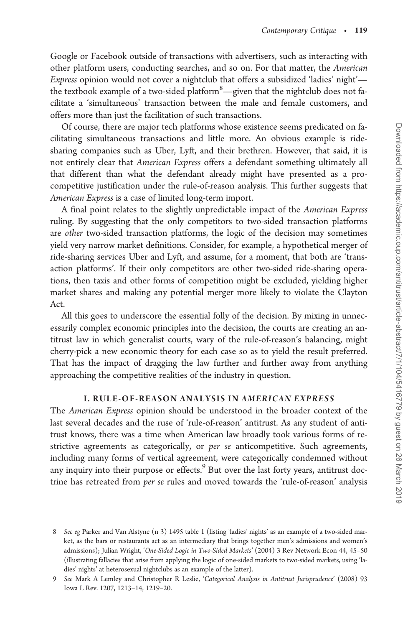Google or Facebook outside of transactions with advertisers, such as interacting with other platform users, conducting searches, and so on. For that matter, the American Express opinion would not cover a nightclub that offers a subsidized 'ladies' night' the textbook example of a two-sided platform $^{8}-$ given that the nightclub does not facilitate a 'simultaneous' transaction between the male and female customers, and offers more than just the facilitation of such transactions.

Of course, there are major tech platforms whose existence seems predicated on facilitating simultaneous transactions and little more. An obvious example is ridesharing companies such as Uber, Lyft, and their brethren. However, that said, it is not entirely clear that American Express offers a defendant something ultimately all that different than what the defendant already might have presented as a procompetitive justification under the rule-of-reason analysis. This further suggests that American Express is a case of limited long-term import.

A final point relates to the slightly unpredictable impact of the American Express ruling. By suggesting that the only competitors to two-sided transaction platforms are other two-sided transaction platforms, the logic of the decision may sometimes yield very narrow market definitions. Consider, for example, a hypothetical merger of ride-sharing services Uber and Lyft, and assume, for a moment, that both are 'transaction platforms'. If their only competitors are other two-sided ride-sharing operations, then taxis and other forms of competition might be excluded, yielding higher market shares and making any potential merger more likely to violate the Clayton Act.

All this goes to underscore the essential folly of the decision. By mixing in unnecessarily complex economic principles into the decision, the courts are creating an antitrust law in which generalist courts, wary of the rule-of-reason's balancing, might cherry-pick a new economic theory for each case so as to yield the result preferred. That has the impact of dragging the law further and further away from anything approaching the competitive realities of the industry in question.

#### I. RULE-OF-REASON ANALYSIS IN AMERICAN EXPRESS

The American Express opinion should be understood in the broader context of the last several decades and the ruse of 'rule-of-reason' antitrust. As any student of antitrust knows, there was a time when American law broadly took various forms of restrictive agreements as categorically, or per se anticompetitive. Such agreements, including many forms of vertical agreement, were categorically condemned without any inquiry into their purpose or effects.<sup>9</sup> But over the last forty years, antitrust doctrine has retreated from per se rules and moved towards the 'rule-of-reason' analysis

<sup>8</sup> See eg Parker and Van Alstyne (n 3) 1495 table 1 (listing 'ladies' nights' as an example of a two-sided market, as the bars or restaurants act as an intermediary that brings together men's admissions and women's admissions); Julian Wright, 'One-Sided Logic in Two-Sided Markets' (2004) 3 Rev Network Econ 44, 45–50 (illustrating fallacies that arise from applying the logic of one-sided markets to two-sided markets, using 'ladies' nights' at heterosexual nightclubs as an example of the latter).

<sup>9</sup> See Mark A Lemley and Christopher R Leslie, 'Categorical Analysis in Antitrust Jurisprudence' (2008) 93 Iowa L Rev. 1207, 1213–14, 1219–20.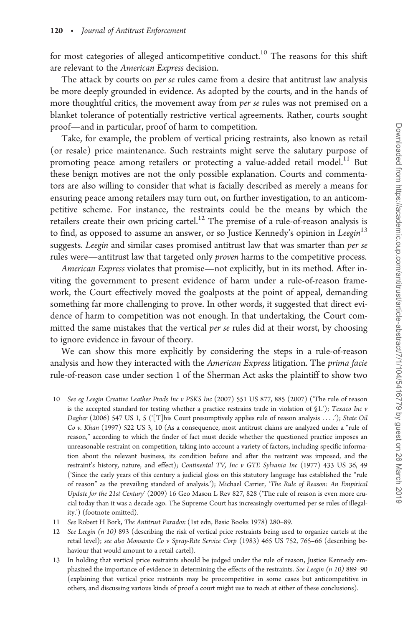for most categories of alleged anticompetitive conduct.<sup>10</sup> The reasons for this shift are relevant to the American Express decision.

The attack by courts on *per se* rules came from a desire that antitrust law analysis be more deeply grounded in evidence. As adopted by the courts, and in the hands of more thoughtful critics, the movement away from *per se* rules was not premised on a blanket tolerance of potentially restrictive vertical agreements. Rather, courts sought proof—and in particular, proof of harm to competition.

Take, for example, the problem of vertical pricing restraints, also known as retail (or resale) price maintenance. Such restraints might serve the salutary purpose of promoting peace among retailers or protecting a value-added retail model.<sup>11</sup> But these benign motives are not the only possible explanation. Courts and commentators are also willing to consider that what is facially described as merely a means for ensuring peace among retailers may turn out, on further investigation, to an anticompetitive scheme. For instance, the restraints could be the means by which the retailers create their own pricing cartel.<sup>12</sup> The premise of a rule-of-reason analysis is to find, as opposed to assume an answer, or so Justice Kennedy's opinion in Leegin<sup>13</sup> suggests. Leegin and similar cases promised antitrust law that was smarter than per se rules were—antitrust law that targeted only proven harms to the competitive process.

American Express violates that promise—not explicitly, but in its method. After inviting the government to present evidence of harm under a rule-of-reason framework, the Court effectively moved the goalposts at the point of appeal, demanding something far more challenging to prove. In other words, it suggested that direct evidence of harm to competition was not enough. In that undertaking, the Court committed the same mistakes that the vertical per se rules did at their worst, by choosing to ignore evidence in favour of theory.

We can show this more explicitly by considering the steps in a rule-of-reason analysis and how they interacted with the American Express litigation. The prima facie rule-of-reason case under section 1 of the Sherman Act asks the plaintiff to show two

- 10 See eg Leegin Creative Leather Prods Inc v PSKS Inc (2007) 551 US 877, 885 (2007) ('The rule of reason is the accepted standard for testing whether a practice restrains trade in violation of  $\S1$ .'); Texaco Inc v Dagher (2006) 547 US 1, 5 ('[T]his Court presumptively applies rule of reason analysis ....'); State Oil Co v. Khan (1997) 522 US 3, 10 (As a consequence, most antitrust claims are analyzed under a "rule of reason," according to which the finder of fact must decide whether the questioned practice imposes an unreasonable restraint on competition, taking into account a variety of factors, including specific information about the relevant business, its condition before and after the restraint was imposed, and the restraint's history, nature, and effect); Continental TV, Inc v GTE Sylvania Inc (1977) 433 US 36, 49 ('Since the early years of this century a judicial gloss on this statutory language has established the "rule of reason" as the prevailing standard of analysis.'); Michael Carrier, 'The Rule of Reason: An Empirical Update for the 21st Century' (2009) 16 Geo Mason L Rev 827, 828 ('The rule of reason is even more crucial today than it was a decade ago. The Supreme Court has increasingly overturned per se rules of illegality.') (footnote omitted).
- 11 See Robert H Bork, The Antitrust Paradox (1st edn, Basic Books 1978) 280–89.
- 12 See Leegin (n 10) 893 (describing the risk of vertical price restraints being used to organize cartels at the retail level); see also Monsanto Co v Spray-Rite Service Corp (1983) 465 US 752, 765–66 (describing behaviour that would amount to a retail cartel).
- 13 In holding that vertical price restraints should be judged under the rule of reason, Justice Kennedy emphasized the importance of evidence in determining the effects of the restraints. See Leegin (n 10) 889–90 (explaining that vertical price restraints may be procompetitive in some cases but anticompetitive in others, and discussing various kinds of proof a court might use to reach at either of these conclusions).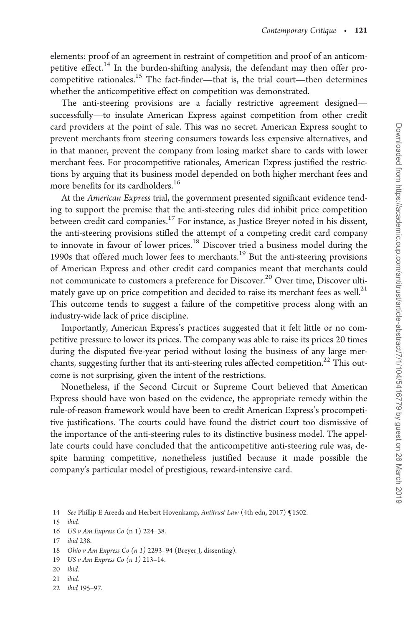elements: proof of an agreement in restraint of competition and proof of an anticompetitive effect.<sup>14</sup> In the burden-shifting analysis, the defendant may then offer procompetitive rationales.<sup>15</sup> The fact-finder—that is, the trial court—then determines whether the anticompetitive effect on competition was demonstrated.

The anti-steering provisions are a facially restrictive agreement designed successfully—to insulate American Express against competition from other credit card providers at the point of sale. This was no secret. American Express sought to prevent merchants from steering consumers towards less expensive alternatives, and in that manner, prevent the company from losing market share to cards with lower merchant fees. For procompetitive rationales, American Express justified the restrictions by arguing that its business model depended on both higher merchant fees and more benefits for its cardholders.<sup>16</sup>

At the American Express trial, the government presented significant evidence tending to support the premise that the anti-steering rules did inhibit price competition between credit card companies.<sup>17</sup> For instance, as Justice Breyer noted in his dissent, the anti-steering provisions stifled the attempt of a competing credit card company to innovate in favour of lower prices.<sup>18</sup> Discover tried a business model during the 1990s that offered much lower fees to merchants.19 But the anti-steering provisions of American Express and other credit card companies meant that merchants could not communicate to customers a preference for Discover.20 Over time, Discover ultimately gave up on price competition and decided to raise its merchant fees as well. $^{21}$ This outcome tends to suggest a failure of the competitive process along with an industry-wide lack of price discipline.

Importantly, American Express's practices suggested that it felt little or no competitive pressure to lower its prices. The company was able to raise its prices 20 times during the disputed five-year period without losing the business of any large merchants, suggesting further that its anti-steering rules affected competition.<sup>22</sup> This outcome is not surprising, given the intent of the restrictions.

Nonetheless, if the Second Circuit or Supreme Court believed that American Express should have won based on the evidence, the appropriate remedy within the rule-of-reason framework would have been to credit American Express's procompetitive justifications. The courts could have found the district court too dismissive of the importance of the anti-steering rules to its distinctive business model. The appellate courts could have concluded that the anticompetitive anti-steering rule was, despite harming competitive, nonetheless justified because it made possible the company's particular model of prestigious, reward-intensive card.

15 ibid.

- 20 ibid.
- 21 ibid.
- 22 ibid 195–97.

<sup>14</sup> See Phillip E Areeda and Herbert Hovenkamp, Antitrust Law (4th edn, 2017)  $91502$ .

<sup>16</sup> US v Am Express Co (n 1) 224-38.

<sup>17</sup> ibid 238.

<sup>18</sup> Ohio v Am Express Co (n 1) 2293–94 (Breyer J, dissenting).

<sup>19</sup> US v Am Express Co (n 1) 213–14.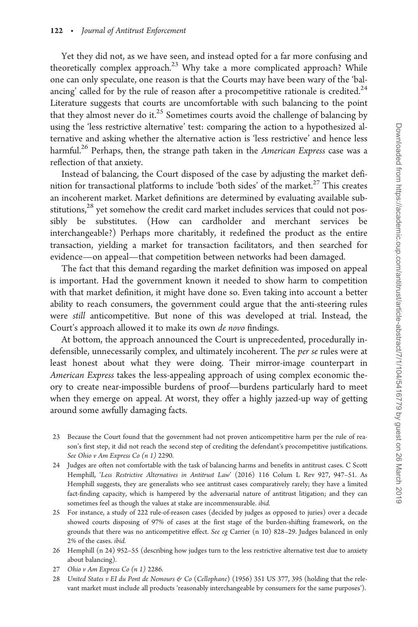Yet they did not, as we have seen, and instead opted for a far more confusing and theoretically complex approach.<sup>23</sup> Why take a more complicated approach? While one can only speculate, one reason is that the Courts may have been wary of the 'balancing' called for by the rule of reason after a procompetitive rationale is credited.<sup>24</sup> Literature suggests that courts are uncomfortable with such balancing to the point that they almost never do it.<sup>25</sup> Sometimes courts avoid the challenge of balancing by using the 'less restrictive alternative' test: comparing the action to a hypothesized alternative and asking whether the alternative action is 'less restrictive' and hence less harmful.<sup>26</sup> Perhaps, then, the strange path taken in the American Express case was a reflection of that anxiety.

Instead of balancing, the Court disposed of the case by adjusting the market definition for transactional platforms to include 'both sides' of the market. $27$  This creates an incoherent market. Market definitions are determined by evaluating available substitutions, $28$  yet somehow the credit card market includes services that could not possibly be substitutes. (How can cardholder and merchant services be interchangeable?) Perhaps more charitably, it redefined the product as the entire transaction, yielding a market for transaction facilitators, and then searched for evidence—on appeal—that competition between networks had been damaged.

The fact that this demand regarding the market definition was imposed on appeal is important. Had the government known it needed to show harm to competition with that market definition, it might have done so. Even taking into account a better ability to reach consumers, the government could argue that the anti-steering rules were still anticompetitive. But none of this was developed at trial. Instead, the Court's approach allowed it to make its own de novo findings.

At bottom, the approach announced the Court is unprecedented, procedurally indefensible, unnecessarily complex, and ultimately incoherent. The per se rules were at least honest about what they were doing. Their mirror-image counterpart in American Express takes the less-appealing approach of using complex economic theory to create near-impossible burdens of proof—burdens particularly hard to meet when they emerge on appeal. At worst, they offer a highly jazzed-up way of getting around some awfully damaging facts.

- 23 Because the Court found that the government had not proven anticompetitive harm per the rule of reason's first step, it did not reach the second step of crediting the defendant's procompetitive justifications. See Ohio v Am Express Co (n 1) 2290.
- 24 Judges are often not comfortable with the task of balancing harms and benefits in antitrust cases. C Scott Hemphill, 'Less Restrictive Alternatives in Antitrust Law' (2016) 116 Colum L Rev 927, 947–51. As Hemphill suggests, they are generalists who see antitrust cases comparatively rarely; they have a limited fact-finding capacity, which is hampered by the adversarial nature of antitrust litigation; and they can sometimes feel as though the values at stake are incommensurable. ibid.
- 25 For instance, a study of 222 rule-of-reason cases (decided by judges as opposed to juries) over a decade showed courts disposing of 97% of cases at the first stage of the burden-shifting framework, on the grounds that there was no anticompetitive effect. See eg Carrier (n 10) 828–29. Judges balanced in only 2% of the cases. ibid.
- 26 Hemphill (n 24) 952–55 (describing how judges turn to the less restrictive alternative test due to anxiety about balancing).
- 27 Ohio v Am Express Co (n 1) 2286.
- 28 United States v EI du Pont de Nemours & Co (Cellophane) (1956) 351 US 377, 395 (holding that the relevant market must include all products 'reasonably interchangeable by consumers for the same purposes').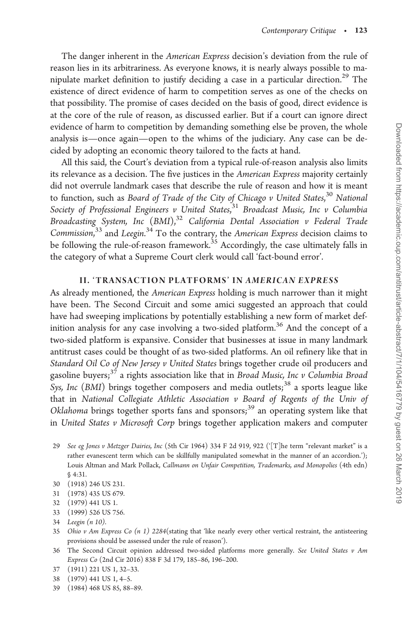The danger inherent in the American Express decision's deviation from the rule of reason lies in its arbitrariness. As everyone knows, it is nearly always possible to manipulate market definition to justify deciding a case in a particular direction.29 The existence of direct evidence of harm to competition serves as one of the checks on that possibility. The promise of cases decided on the basis of good, direct evidence is at the core of the rule of reason, as discussed earlier. But if a court can ignore direct evidence of harm to competition by demanding something else be proven, the whole analysis is—once again—open to the whims of the judiciary. Any case can be decided by adopting an economic theory tailored to the facts at hand.

All this said, the Court's deviation from a typical rule-of-reason analysis also limits its relevance as a decision. The five justices in the American Express majority certainly did not overrule landmark cases that describe the rule of reason and how it is meant to function, such as *Board of Trade of the City of Chicago v United States,<sup>30</sup> National* Society of Professional Engineers v United States,<sup>31</sup> Broadcast Music, Inc v Columbia Broadcasting System, Inc  $(BMI)^{32}$  California Dental Association v Federal Trade Commission,<sup>33</sup> and Leegin.<sup>34</sup> To the contrary, the American Express decision claims to be following the rule-of-reason framework.<sup>35</sup> Accordingly, the case ultimately falls in the category of what a Supreme Court clerk would call 'fact-bound error'.

#### II. 'TRANSACTION PLATFORMS' IN AMERICAN EXPRESS

As already mentioned, the *American Express* holding is much narrower than it might have been. The Second Circuit and some amici suggested an approach that could have had sweeping implications by potentially establishing a new form of market definition analysis for any case involving a two-sided platform.<sup>36</sup> And the concept of a two-sided platform is expansive. Consider that businesses at issue in many landmark antitrust cases could be thought of as two-sided platforms. An oil refinery like that in Standard Oil Co of New Jersey v United States brings together crude oil producers and gasoline buyers; $37$  a rights association like that in Broad Music, Inc v Columbia Broad Sys, Inc (BMI) brings together composers and media outlets;<sup>38</sup> a sports league like that in National Collegiate Athletic Association v Board of Regents of the Univ of Oklahoma brings together sports fans and sponsors; $39$  an operating system like that in United States v Microsoft Corp brings together application makers and computer

- 29 See eg Jones v Metzger Dairies, Inc (5th Cir 1964) 334 F 2d 919, 922 ('[T]he term "relevant market" is a rather evanescent term which can be skillfully manipulated somewhat in the manner of an accordion.'); Louis Altman and Mark Pollack, Callmann on Unfair Competition, Trademarks, and Monopolies (4th edn) § 4:31.
- 30 (1918) 246 US 231.
- 31 (1978) 435 US 679.
- 32 (1979) 441 US 1.
- 33 (1999) 526 US 756.
- 34 Leegin (n 10).
- 35 Ohio v Am Express Co (n 1) 2284(stating that 'like nearly every other vertical restraint, the antisteering provisions should be assessed under the rule of reason').
- 36 The Second Circuit opinion addressed two-sided platforms more generally. See United States v Am Express Co (2nd Cir 2016) 838 F 3d 179, 185–86, 196–200.
- 37 (1911) 221 US 1, 32–33.
- 38 (1979) 441 US 1, 4–5.
- 39 (1984) 468 US 85, 88–89.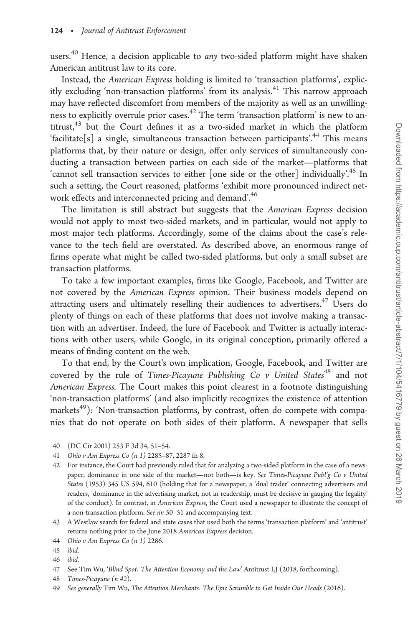users.<sup>40</sup> Hence, a decision applicable to *any* two-sided platform might have shaken American antitrust law to its core.

Instead, the American Express holding is limited to 'transaction platforms', explicitly excluding 'non-transaction platforms' from its analysis.<sup>41</sup> This narrow approach may have reflected discomfort from members of the majority as well as an unwillingness to explicitly overrule prior cases.42 The term 'transaction platform' is new to antitrust, $43$  but the Court defines it as a two-sided market in which the platform 'facilitate[s] a single, simultaneous transaction between participants'.<sup>44</sup> This means platforms that, by their nature or design, offer only services of simultaneously conducting a transaction between parties on each side of the market—platforms that 'cannot sell transaction services to either [one side or the other] individually'.<sup>45</sup> In such a setting, the Court reasoned, platforms 'exhibit more pronounced indirect network effects and interconnected pricing and demand'.<sup>46</sup>

The limitation is still abstract but suggests that the American Express decision would not apply to most two-sided markets, and in particular, would not apply to most major tech platforms. Accordingly, some of the claims about the case's relevance to the tech field are overstated. As described above, an enormous range of firms operate what might be called two-sided platforms, but only a small subset are transaction platforms.

To take a few important examples, firms like Google, Facebook, and Twitter are not covered by the American Express opinion. Their business models depend on attracting users and ultimately reselling their audiences to advertisers.<sup>47</sup> Users do plenty of things on each of these platforms that does not involve making a transaction with an advertiser. Indeed, the lure of Facebook and Twitter is actually interactions with other users, while Google, in its original conception, primarily offered a means of finding content on the web.

To that end, by the Court's own implication, Google, Facebook, and Twitter are covered by the rule of Times-Picayune Publishing Co v United States<sup>48</sup> and not American Express. The Court makes this point clearest in a footnote distinguishing 'non-transaction platforms' (and also implicitly recognizes the existence of attention markets<sup>49</sup>): 'Non-transaction platforms, by contrast, often do compete with companies that do not operate on both sides of their platform. A newspaper that sells

- 40 (DC Cir 2001) 253 F 3d 34, 51–54.
- 41 Ohio v Am Express Co (n 1) 2285–87, 2287 fn 8.
- 42 For instance, the Court had previously ruled that for analyzing a two-sided platform in the case of a newspaper, dominance in one side of the market—not both—is key. See Times-Picayune Publ'g Co v United States (1953) 345 US 594, 610 (holding that for a newspaper, a 'dual trader' connecting advertisers and readers, 'dominance in the advertising market, not in readership, must be decisive in gauging the legality' of the conduct). In contrast, in American Express, the Court used a newspaper to illustrate the concept of a non-transaction platform. See nn 50–51 and accompanying text.
- 43 A Westlaw search for federal and state cases that used both the terms 'transaction platform' and 'antitrust' returns nothing prior to the June 2018 American Express decision.
- 44 Ohio v Am Express Co (n 1) 2286.
- 45 ibid.
- 46 ibid.
- 47 See Tim Wu, 'Blind Spot: The Attention Economy and the Law' Antitrust LJ (2018, forthcoming).
- 48 Times-Picayune (n 42).
- 49 See generally Tim Wu, The Attention Merchants: The Epic Scramble to Get Inside Our Heads (2016).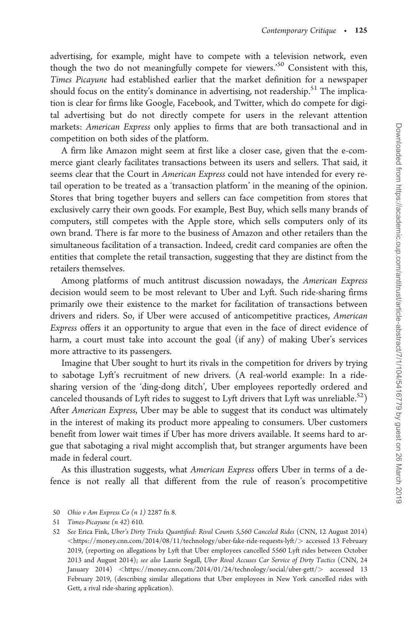advertising, for example, might have to compete with a television network, even though the two do not meaningfully compete for viewers.<sup>50</sup> Consistent with this, Times Picayune had established earlier that the market definition for a newspaper should focus on the entity's dominance in advertising, not readership.<sup>51</sup> The implication is clear for firms like Google, Facebook, and Twitter, which do compete for digital advertising but do not directly compete for users in the relevant attention markets: American Express only applies to firms that are both transactional and in competition on both sides of the platform.

A firm like Amazon might seem at first like a closer case, given that the e-commerce giant clearly facilitates transactions between its users and sellers. That said, it seems clear that the Court in American Express could not have intended for every retail operation to be treated as a 'transaction platform' in the meaning of the opinion. Stores that bring together buyers and sellers can face competition from stores that exclusively carry their own goods. For example, Best Buy, which sells many brands of computers, still competes with the Apple store, which sells computers only of its own brand. There is far more to the business of Amazon and other retailers than the simultaneous facilitation of a transaction. Indeed, credit card companies are often the entities that complete the retail transaction, suggesting that they are distinct from the retailers themselves.

Among platforms of much antitrust discussion nowadays, the American Express decision would seem to be most relevant to Uber and Lyft. Such ride-sharing firms primarily owe their existence to the market for facilitation of transactions between drivers and riders. So, if Uber were accused of anticompetitive practices, American Express offers it an opportunity to argue that even in the face of direct evidence of harm, a court must take into account the goal (if any) of making Uber's services more attractive to its passengers.

Imagine that Uber sought to hurt its rivals in the competition for drivers by trying to sabotage Lyft's recruitment of new drivers. (A real-world example: In a ridesharing version of the 'ding-dong ditch', Uber employees reportedly ordered and canceled thousands of Lyft rides to suggest to Lyft drivers that Lyft was unreliable.<sup>52</sup>) After American Express, Uber may be able to suggest that its conduct was ultimately in the interest of making its product more appealing to consumers. Uber customers benefit from lower wait times if Uber has more drivers available. It seems hard to argue that sabotaging a rival might accomplish that, but stranger arguments have been made in federal court.

As this illustration suggests, what American Express offers Uber in terms of a defence is not really all that different from the rule of reason's procompetitive

<sup>50</sup> Ohio v Am Express Co (n 1) 2287 fn 8.

<sup>51</sup> Times-Picayune (n 42) 610.

<sup>52</sup> See Erica Fink, Uber's Dirty Tricks Quantified: Rival Counts 5,560 Canceled Rides (CNN, 12 August 2014) <<https://money.cnn.com/2014/08/11/technology/uber-fake-ride-requests-lyft/>> accessed 13 February 2019, (reporting on allegations by Lyft that Uber employees cancelled 5560 Lyft rides between October 2013 and August 2014); see also Laurie Segall, Uber Rival Accuses Car Service of Dirty Tactics (CNN, 24 January 2014) <<https://money.cnn.com/2014/01/24/technology/social/uber-gett/>> accessed 13 February 2019, (describing similar allegations that Uber employees in New York cancelled rides with Gett, a rival ride-sharing application).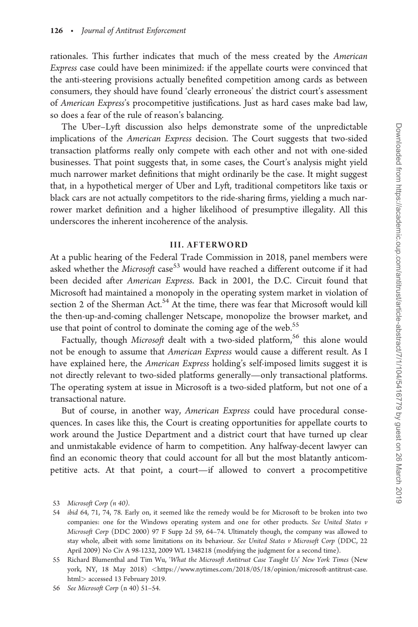rationales. This further indicates that much of the mess created by the American Express case could have been minimized: if the appellate courts were convinced that the anti-steering provisions actually benefited competition among cards as between consumers, they should have found 'clearly erroneous' the district court's assessment of American Express's procompetitive justifications. Just as hard cases make bad law, so does a fear of the rule of reason's balancing.

The Uber–Lyft discussion also helps demonstrate some of the unpredictable implications of the American Express decision. The Court suggests that two-sided transaction platforms really only compete with each other and not with one-sided businesses. That point suggests that, in some cases, the Court's analysis might yield much narrower market definitions that might ordinarily be the case. It might suggest that, in a hypothetical merger of Uber and Lyft, traditional competitors like taxis or black cars are not actually competitors to the ride-sharing firms, yielding a much narrower market definition and a higher likelihood of presumptive illegality. All this underscores the inherent incoherence of the analysis.

#### III. AFTERWORD

At a public hearing of the Federal Trade Commission in 2018, panel members were asked whether the Microsoft case<sup>53</sup> would have reached a different outcome if it had been decided after American Express. Back in 2001, the D.C. Circuit found that Microsoft had maintained a monopoly in the operating system market in violation of section 2 of the Sherman Act.<sup>54</sup> At the time, there was fear that Microsoft would kill the then-up-and-coming challenger Netscape, monopolize the browser market, and use that point of control to dominate the coming age of the web.<sup>55</sup>

Factually, though Microsoft dealt with a two-sided platform,<sup>56</sup> this alone would not be enough to assume that American Express would cause a different result. As I have explained here, the American Express holding's self-imposed limits suggest it is not directly relevant to two-sided platforms generally—only transactional platforms. The operating system at issue in Microsoft is a two-sided platform, but not one of a transactional nature.

But of course, in another way, American Express could have procedural consequences. In cases like this, the Court is creating opportunities for appellate courts to work around the Justice Department and a district court that have turned up clear and unmistakable evidence of harm to competition. Any halfway-decent lawyer can find an economic theory that could account for all but the most blatantly anticompetitive acts. At that point, a court—if allowed to convert a procompetitive

<sup>53</sup> Microsoft Corp (n 40).

<sup>54</sup> ibid 64, 71, 74, 78. Early on, it seemed like the remedy would be for Microsoft to be broken into two companies: one for the Windows operating system and one for other products. See United States v Microsoft Corp (DDC 2000) 97 F Supp 2d 59, 64–74. Ultimately though, the company was allowed to stay whole, albeit with some limitations on its behaviour. See United States v Microsoft Corp (DDC, 22 April 2009) No Civ A 98-1232, 2009 WL 1348218 (modifying the judgment for a second time).

<sup>55</sup> Richard Blumenthal and Tim Wu, 'What the Microsoft Antitrust Case Taught Us' New York Times (New york, NY, 18 May 2018) <[https://www.nytimes.com/2018/05/18/opinion/microsoft-antitrust-case.](https://www.nytimes.com/2018/05/18/opinion/microsoft-antitrust-case.html) [html](https://www.nytimes.com/2018/05/18/opinion/microsoft-antitrust-case.html)> accessed 13 February 2019.

<sup>56</sup> See Microsoft Corp (n 40) 51–54.